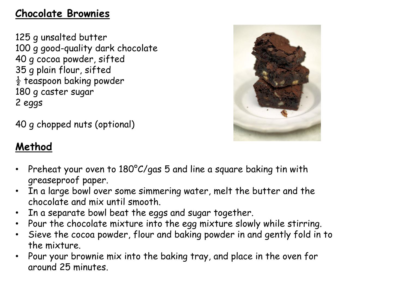#### **Chocolate Brownies**

125 g unsalted butter 100 g good-quality dark chocolate 40 g cocoa powder, sifted 35 g plain flour, sifted  $\frac{1}{2}$  teaspoon baking powder 180 g caster sugar 2 eggs

40 g chopped nuts (optional)

# **Method**

- 
- Preheat your oven to 180°C/gas 5 and line a square baking tin with greaseproof paper.
- In a large bowl over some simmering water, melt the butter and the chocolate and mix until smooth.
- In a separate bowl beat the eggs and sugar together.
- Pour the chocolate mixture into the egg mixture slowly while stirring.
- Sieve the cocoa powder, flour and baking powder in and gently fold in to the mixture.
- Pour your brownie mix into the baking tray, and place in the oven for around 25 minutes.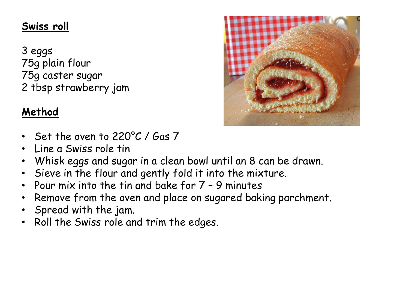## **Swiss roll**

3 eggs 75g plain flour 75g caster sugar 2 tbsp strawberry jam



## **Method**

- Set the oven to 220°C / Gas 7
- Line a Swiss role tin
- Whisk eggs and sugar in a clean bowl until an 8 can be drawn.
- Sieve in the flour and gently fold it into the mixture.
- Pour mix into the tin and bake for 7 9 minutes
- Remove from the oven and place on sugared baking parchment.
- Spread with the jam.
- Roll the Swiss role and trim the edges.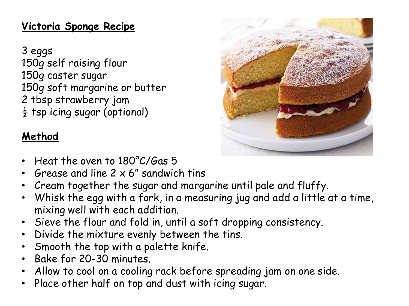## **Victoria Sponge Recipe**

3 eggs 150g self raising flour 150g caster sugar 150g soft margarine or butter 2 tbsp strawberry jam  $\frac{1}{2}$  tsp icing sugar (optional)

# **Method**

- Heat the oven to 180°C/Gas 5
- 6 rease and line  $2 \times 6$ " sandwich tins
- Cream together the sugar and margarine until pale and fluffy.
- Whisk the egg with a fork, in a measuring jug and add a little at a time, mixing well with each addition.
- Sieve the flour and fold in, until a soft dropping consistency.
- Divide the mixture evenly between the tins.
- Smooth the top with a palette knife.
- Bake for 20-30 minutes.
- Allow to cool on a cooling rack before spreading jam on one side.
- Place other half on top and dust with icing sugar.